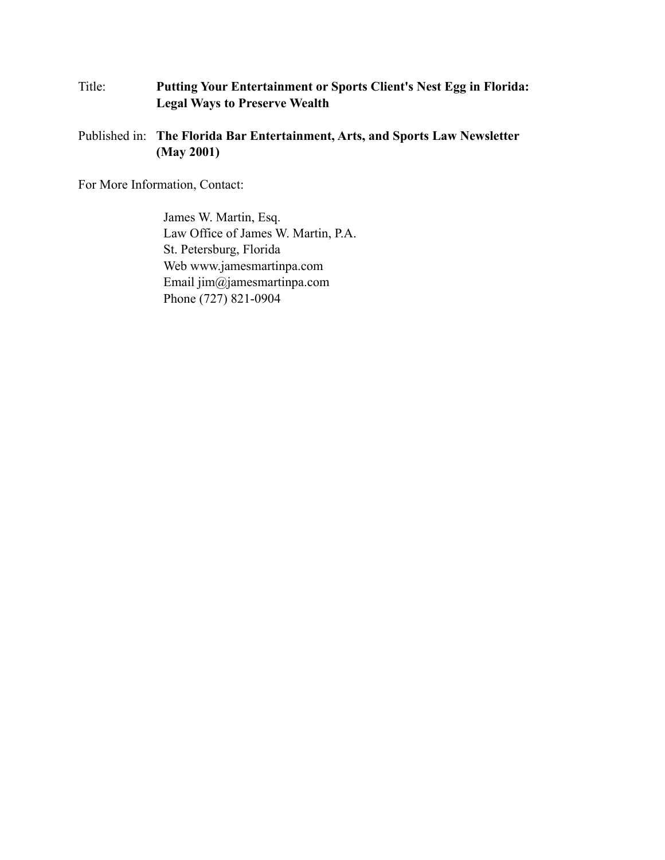## Title: **Putting Your Entertainment or Sports Client's Nest Egg in Florida: Legal Ways to Preserve Wealth**

Published in: **The Florida Bar Entertainment, Arts, and Sports Law Newsletter (May 2001)**

For More Information, Contact:

James W. Martin, Esq. Law Office of James W. Martin, P.A. St. Petersburg, Florida Web www.jamesmartinpa.com Email jim@jamesmartinpa.com Phone (727) 821-0904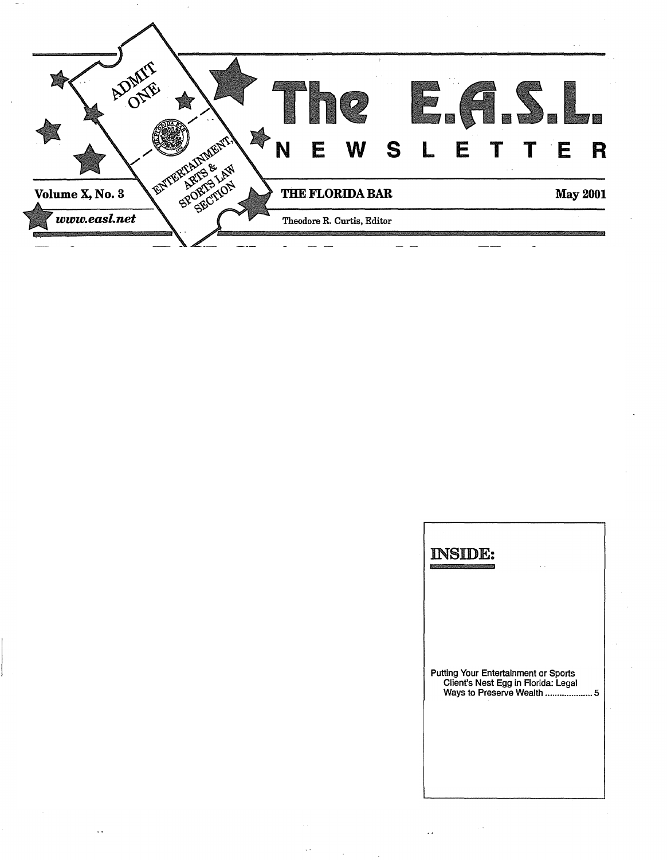

| <b>INSIDE:</b><br><b><i><u>Property in the second control of the control of the control of the control of the control of the control of the control of the control of the control of the control of the control of the control of the control of the c</u></i></b> |  |
|--------------------------------------------------------------------------------------------------------------------------------------------------------------------------------------------------------------------------------------------------------------------|--|
| Putting Your Entertainment or Sports<br>Client's Nest Egg in Florida: Legal<br>Ways to Preserve Wealth<br>5                                                                                                                                                        |  |

 $\ddot{\phantom{a}}$